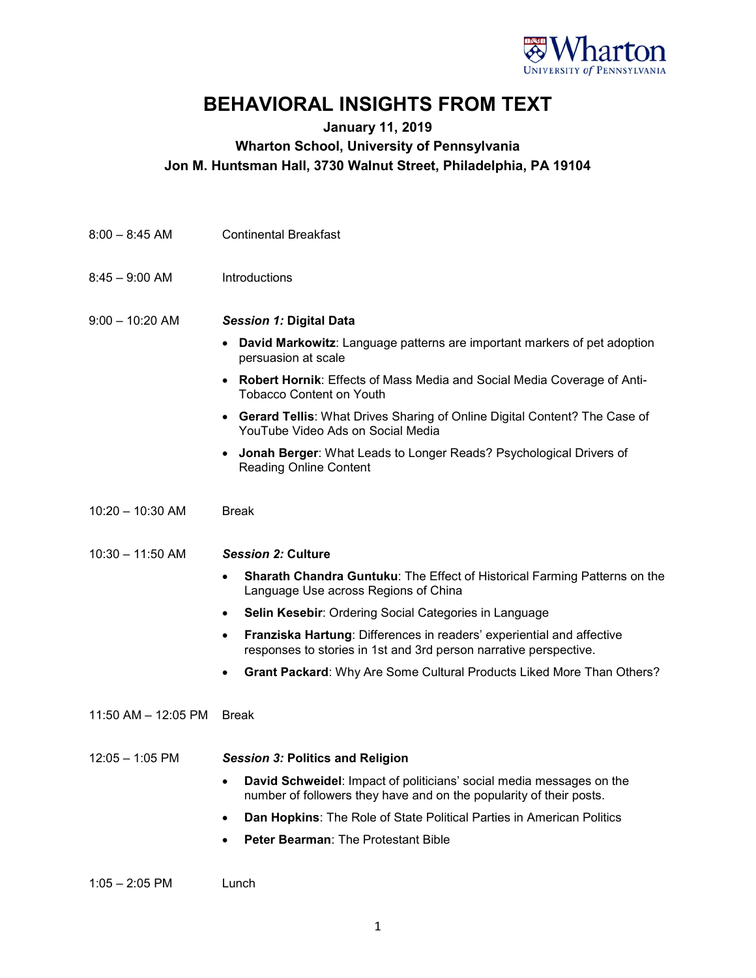

## **BEHAVIORAL INSIGHTS FROM TEXT**

## **January 11, 2019 Wharton School, University of Pennsylvania Jon M. Huntsman Hall, 3730 Walnut Street, Philadelphia, PA 19104**

| $8:00 - 8:45$ AM    | <b>Continental Breakfast</b>                                                                                                                            |
|---------------------|---------------------------------------------------------------------------------------------------------------------------------------------------------|
| $8:45 - 9:00$ AM    | Introductions                                                                                                                                           |
| $9:00 - 10:20$ AM   | <b>Session 1: Digital Data</b>                                                                                                                          |
|                     | <b>David Markowitz:</b> Language patterns are important markers of pet adoption<br>٠<br>persuasion at scale                                             |
|                     | <b>Robert Hornik: Effects of Mass Media and Social Media Coverage of Anti-</b><br>$\bullet$<br><b>Tobacco Content on Youth</b>                          |
|                     | <b>Gerard Tellis: What Drives Sharing of Online Digital Content? The Case of</b><br>$\bullet$<br>YouTube Video Ads on Social Media                      |
|                     | <b>Jonah Berger:</b> What Leads to Longer Reads? Psychological Drivers of<br><b>Reading Online Content</b>                                              |
| $10:20 - 10:30$ AM  | <b>Break</b>                                                                                                                                            |
| $10:30 - 11:50$ AM  | <b>Session 2: Culture</b>                                                                                                                               |
|                     | Sharath Chandra Guntuku: The Effect of Historical Farming Patterns on the<br>$\bullet$<br>Language Use across Regions of China                          |
|                     | <b>Selin Kesebir:</b> Ordering Social Categories in Language<br>$\bullet$                                                                               |
|                     | Franziska Hartung: Differences in readers' experiential and affective<br>$\bullet$<br>responses to stories in 1st and 3rd person narrative perspective. |
|                     | <b>Grant Packard: Why Are Some Cultural Products Liked More Than Others?</b><br>٠                                                                       |
| 11:50 AM - 12:05 PM | <b>Break</b>                                                                                                                                            |
| $12:05 - 1:05$ PM   | <b>Session 3: Politics and Religion</b>                                                                                                                 |
|                     | David Schweidel: Impact of politicians' social media messages on the<br>number of followers they have and on the popularity of their posts.             |
|                     | Dan Hopkins: The Role of State Political Parties in American Politics                                                                                   |
|                     | Peter Bearman: The Protestant Bible                                                                                                                     |